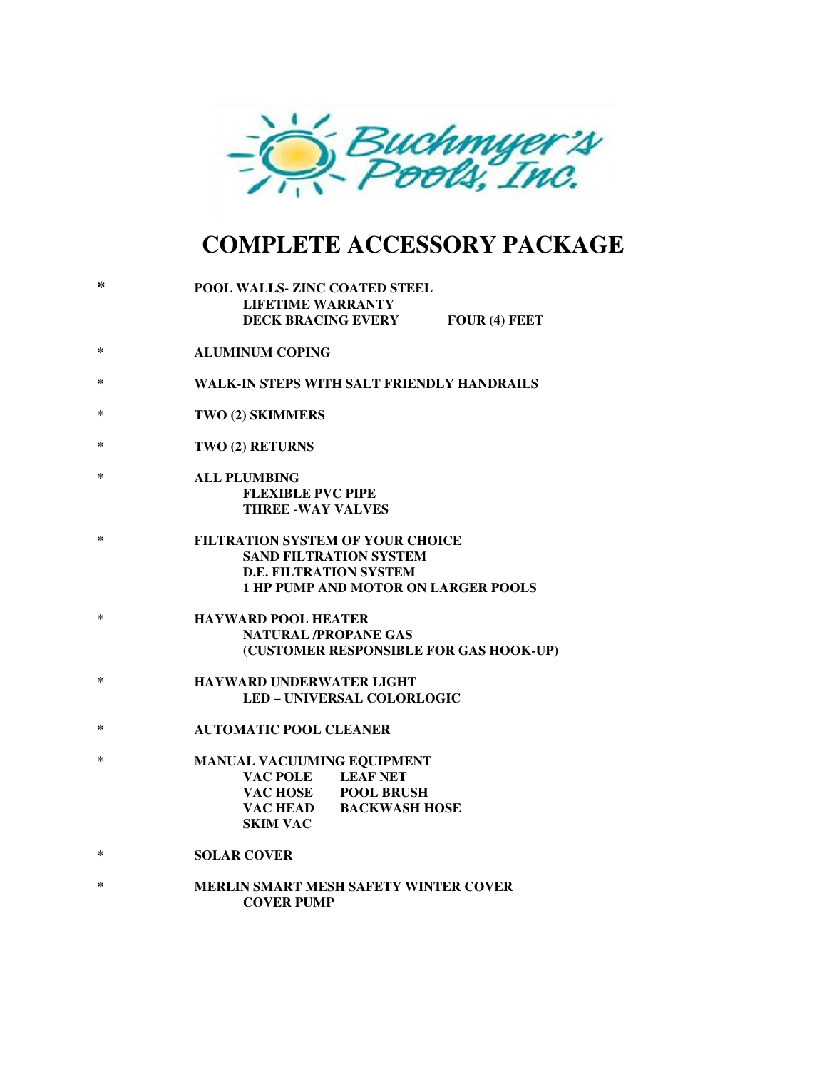

## **COMPLETE ACCESSORY PACKAGE**

| ∗      | POOL WALLS- ZINC COATED STEEL<br><b>LIFETIME WARRANTY</b><br><b>DECK BRACING EVERY</b><br>FOUR (4) FEET                                                 |
|--------|---------------------------------------------------------------------------------------------------------------------------------------------------------|
| $\ast$ | <b>ALUMINUM COPING</b>                                                                                                                                  |
| ∗      | <b>WALK-IN STEPS WITH SALT FRIENDLY HANDRAILS</b>                                                                                                       |
| ∗      | TWO (2) SKIMMERS                                                                                                                                        |
| ∗      | TWO (2) RETURNS                                                                                                                                         |
| ∗      | <b>ALL PLUMBING</b><br><b>FLEXIBLE PVC PIPE</b><br><b>THREE -WAY VALVES</b>                                                                             |
| ∗      | <b>FILTRATION SYSTEM OF YOUR CHOICE</b><br><b>SAND FILTRATION SYSTEM</b><br><b>D.E. FILTRATION SYSTEM</b><br><b>1 HP PUMP AND MOTOR ON LARGER POOLS</b> |
| $\ast$ | <b>HAYWARD POOL HEATER</b><br><b>NATURAL /PROPANE GAS</b><br>(CUSTOMER RESPONSIBLE FOR GAS HOOK-UP)                                                     |
| $\ast$ | <b>HAYWARD UNDERWATER LIGHT</b><br><b>LED - UNIVERSAL COLORLOGIC</b>                                                                                    |
| ∗      | <b>AUTOMATIC POOL CLEANER</b>                                                                                                                           |
| ∗      | <b>MANUAL VACUUMING EQUIPMENT</b><br>VAC POLE LEAF NET<br>VAC HOSE POOL BRUSH<br>VAC HEAD BACKWASH HOSE<br><b>SKIM VAC</b>                              |
| ∗      | <b>SOLAR COVER</b>                                                                                                                                      |
| ∗      | MERLIN SMART MESH SAFETY WINTER COVER<br><b>COVER PUMP</b>                                                                                              |